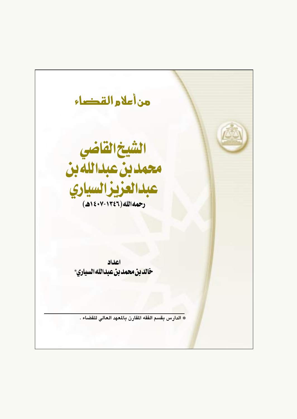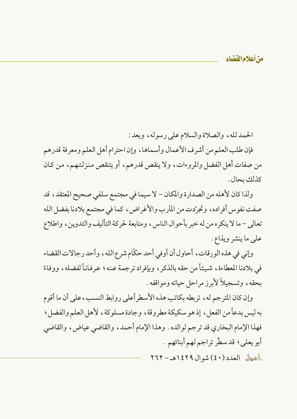من أعلام القضاء

الحمدلله، والصلاة والسلام على رسوله، وبعد: فإن طلب العلم من أشرف الأعمال وأسماها ، وإن احترام أهل العلم ومعرفة قدرهم من صفات أهل الفضل والمروءات، ولا ينقص قدرهم، أو يتنقص منزلتهم، من كـان كذلك يحال .

ولذا كان لأهله من الصدارة والمكان – لا سيما في مجتمع سلفي صحيح المعتقد، قد صفت نفوس أفراده، وتجرّدت من المآرب والأغراض، كما في مجتمع بلادنا بفضل الله تعالى – ما لا ينكره من له خبر بأحوال الناس ، ومتابعة لحركة التأليف والتدوين ، واطلاع على ما ينشر ويذاع.

وإني في هذه الورقات، أحاول أن أوفي أحد حكَّام شرع الله، وأحد رجالات القضاء في بلادنا المعطاءة، شيئاً من حقه بالذكر ، وبإفراد ترجمة عنه؛ عرفاناً لفضله، ووفاءً بحقه، وتسجيلاً لأبرز مراحل حياته ومواقفه .

وإن كان المترجم له، تربطه بكاتب هذه الأسطرأعلى روابط النسب، على أن ما أقوم به ليس بدعاً من الفعل، إذ هو سكيكة مطروقة، وجادة مسلوكة، لأهل العلم والفضل ؛ فهذا الإمام البخاري قد ترجم لوالده . وهذا الإمام أحمد ، والقاضي عياض ، والقاضي أبو يعلى؛ قد سطَّر تراجم لهم أبنائهم .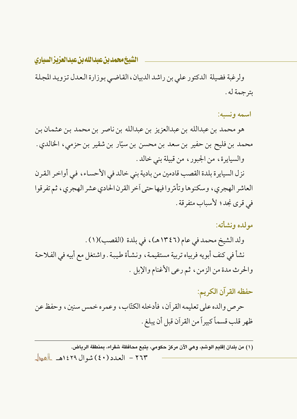الشيخ محمد بن عبدالله بن عبدالعزيز السياري

ولرغبة فضيلة الدكتور على بن راشد الدبيان، القاضي بوزارة العدل تزويد المجلة بترجمة له .

اسمه ونسبه:

هو محمد بن عبدالله بن عبدالعزيز بن عبدالله بن ناصر بن محمد بن عثمـان بن محمد بن فليح بن حفير بن سعد بن محسن بن سيّار بن شقير بن حزمي، الخالدي . والسيايرة، من الجبور، من قبيلة بني خالد .

نزل السيايرة بلدة القصب قادمين من بادية بني خالد في الأحساء، في أواخر القرن العاشر الهجري، وسكنوها وتأمّروا فيها حتى أخر القرن الحادي عشر الهجري، ثم تفرقوا في قرى نجد؛ لأسباب متفرقة .

موللده ونشأته:

ولد الشيخ محمد في عام (١٣٤٦هـ)، في بلدة (القصب)(١) . نشأ في كنف أبويه فربياه تربية مستقيمة، ونشأة طيبة . واشتغل مع أبيه في الفلاحة والحرث مدة من الزمن، ثم رعي الأغنام والإبل .

حفظه القرآن الكريم: حرص والده على تعليمه القر آن ، فأدخله الكتّاب ، وعمر ه خمس سنين ، وحفظ عن ظهر قلب قسماً كبيراً من القرآن قبل أن يبلغ .

(١) من بلدان إقليم الوشم، وهي الآن مركز حكومي، يتبع محافظة شقراء، بمنطقة الرياض. ٢٦٣ - العدد (٤٠) شوال ١٤٢٩هـ العط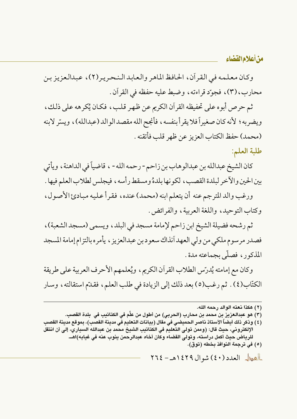وكان معلمه في القرآن، الحافظ الماهر والعابد النحرير(٢)، عبدالعزيز بن محارب، (٣)، فجوِّد قراءته، وضبط عليه حفظه في القرآن.

ثم حرص أبوه على تحفيظه القرآن الكريم عن ظهر قلب، فكان يُكرهه على ذلك، ويضربه ؛ لأنه كان صغيراً فلا يقرأ بنفسه ، فأنجح الله مقصد الو الد (عبدالله) ، ويسِّر لابنه (محمد) حفظ الكتاب العزيز عن ظهر قلب فأتقنه .

طلبة العلم:

كان الشيخ عبدالله بن عبدالوهاب بن زاحم - رحمه الله - ، قاضياً في الداهنة ، ويأتي بين الحين والآخر لبلدة القصب، لكونها بلدهُ ومسقط رأسه، فيجلس لطلاب العلم فيها .

ورغب والد المترجم عنه أن يتعلم ابنه (محمد) عنده، فقرأ عليه مبادئ الأصول، وكتاب التوحيد، واللغة العربية، والفرائض.

ثم رشحه فضيلة الشيخ ابن زاحم لإمامة مسجد في البلد، ويسمى (مسجد الشعبة)، فصدر مرسوم ملكي من ولي العهد آنذاك سعود بن عبدالعزيز ، يأمره بالتزام إمامة المسجد المذكور، فصلَّى بجماعته مدة.

وكان مع إمامته يُدرِّس الطلاب القرآن الكريم ، ويُعلمهم الأحرف العربية على طريقة الكتّاب(٤) . ثم رغب(٥) بعد ذلك إلى الزيادة في طلب العلم، فقدّم استقالته، وسار

- (٣) هو عبدالعزيز بن محمد بن محارب (الحربى) من أطول من علَّم فى الكتاتيب فى بلدة القصب.
- (٤) وذكر ذلك أيضاً الأستاذ ناصر الحميضي في مقال (بيانات التعليم في مدينة القصب)، بموقع مدينة القصب الإلكتروني، حيث قال: (وممن تولي التعليم في الكتاتيب الشيخ محمد بن عبدالله السياري، إلى أن انتقل للرياض حيث أكمل دراسته، وتولى القضاء وكان أخاه عبدالرحمن ينوب عنه في غيابه)اهــ. (٥) في ترجمة النوافذ بخطه (توق).

العطل العدد (٤٠) شوال ١٤٢٩هـ - ٢٦٤

<sup>(</sup>٢) هكذا نعته الوالد رحمه الله.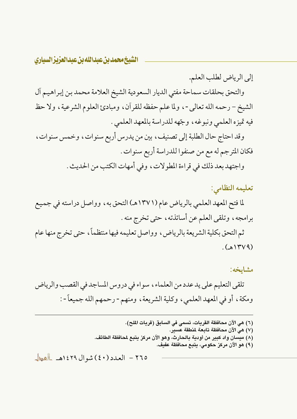الشيخ محمد بن عبدالله بن عبدالعزيز السياري

والتحق بحلقات سماحة مفتى الديار السعودية الشيخ العلامة محمد بن إبراهيم آل الشيخ – رحمه الله تعالى -، ولما علم حفظه للقرآن، ومبادئ العلوم الشرعية، ولا حظ فيه تميزه العلمي ونبوغه، وجّهه للدراسة بالمعهد العلمي . وقد احتاج حال الطلبة إلى تصنيف ، بين من يدرس أربع سنوات ، وخمس سنوات ،

إلى الرياض لطلب العلم.

فكان المترجم له مع من صنفوا للدراسة أربع سنوات .

واجتهد بعد ذلك في قراءة المطولات، وفي أمهات الكتب من الحديث .

تعليمه النظامى: لما فتح المعهد العلمي بالرياض عام (١٣٧١هـ) التحق به، وواصل دراسته في جميع برامجه، وتلقى العلم عن أساتذته، حتى تخرج منه .

ثم التحق بكلية الشريعة بالرياض، وواصل تعليمه فيها منتظماً، حتى تخرج منها عام  $(AYY)$ 

مشايخه: تلقى التعليم على يد عدد من العلماء ، سواء في دروس المساجد في القصب والرياض ومكة، أو في المعهد العلمي، وكلية الشريعة، ومنهم - رحمهم الله جميعاً - :

> (٦) هي الآن محافظة القريات، تسمى في السابق (قريات الملح). (٧) هي الآن محافظة تابعة لمنطقة عسير. (٨) ميسان واد كبير من أودية بالحارث، وهو الآن مركز يتبع لمحافظة الطائف. (٩) هو الآن مركز حكومي، يتبع محافظة عفيف.

٢٦٥ - العدد (٤٠) شوال ١٤٢٩هـ العط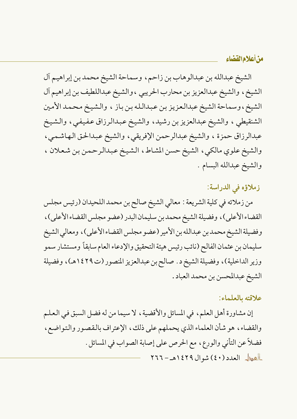الشيخ عبدالله بن عبدالوهاب بن زاحم، وسماحة الشيخ محمد بن إبراهيم آل الشيخ، والشيخ عبدالعزيز بن محارب الحريبي ، والشيخ عبداللطيف بن إبراهيم آل الشيخ، وسماحة الشيخ عبدالعزيز بن عبدالله بن باز ، والشيخ محمد الأمين الشنقيطي ، والشيخ عبدالعزيز بن رشيد، والشيخ عبدالرزاق عفيفي، والشيخ عبدالرزاق حمزة ، والشيخ عبدالرحمن الإفريقي، والشيخ عبدالحق الهاشمي، والشيخ علوي مالكي، الشيخ حسن المشاط، الشيخ عبدالرحمن بن شعلان ، والشيخ عبدالله البسام .

# زملاؤه في الدراسة:

من زملائه في كلية الشريعة : معالى الشيخ صالح بن محمد اللحيدان (رئيس مجلس القضاء الأعلى)، وفضيلة الشيخ محمد بن سليمان البدر (عضو مجلس القضاء الأعلى)، وفضيلة الشيخ محمد بن عبدالله بن الأمير (عضو مجلس القضاء الأعلى)، ومعالى الشيخ سليمان بن عثمان الفالح (نائب رئيس هيئة التحقيق والإدعاء العام سابقاً ومستشار سمو وزير الداخلية)، وفضيلة الشيخ د . صالح بن عبدالعزيز المنصور (ت١٤٢٩هـ)، وفضيلة الشيخ عبدالمحسن بن محمد العباد .

# علاقته بالعلماء:

إن مشاورة أهل العلم، في المسائل والأقضية، لا سيما من له فضل السبق في العلم والقضاء، هو شأن العلماء الذي يحملهم على ذلك، الإعتراف بالقصور والتواضع، فضلاً عن التأني والورع، مع الحرص على إصابة الصواب في المسائل .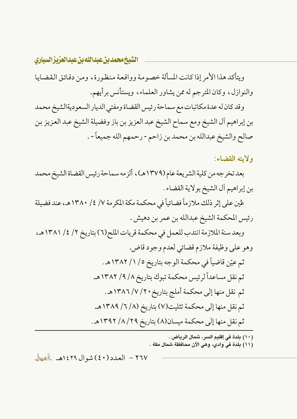الشيخ محمد بن عبدالله بن عبدالعزيز السياري

ويتأكد هذا الأمر إذا كانت المسألة خصومة وواقعة منظورة، ومن دقائق القضايا والنوازل، وكان المترجم له ممن يشاور العلماء، ويستأنس برأيهم.

وقد كان له عدة مكاتبات مع سماحة رئيس القضاة ومفتى الديار السعوديةالشيخ محمد بن إبراهيم آل الشيخ ومع سماح الشيخ عبد العزيز بن باز وفضيلة الشيخ عبد العزيز بن صالح والشيخ عبدالله بن محمد بن زاحم - رحمهم الله جميعاً - .

ولايته القضاء:

بعد تخرجه من كلية الشريعة عام (١٣٧٩هـ)، ألز مه سماحة رئيس القضاة الشيخ محمد بن إبراهيم أل الشيخ بولاية القضاء .

عُين على إثر ذلك ملازماً فضائياً في محكمة مكة المكرمة ٧/ ٤/ ١٣٨٠هـ، عند فضيلة رئيس المحكمة الشيخ عبدالله بن عمر بن دهيش .

وبعد سنة الملازمة انتدب للعمل في محكمة قريات الملح(٦) بتاريخ ٢/ ٤/ ١٣٨١هـ، وهو على وظيفة ملازم قضائي لعدم وجود قاض. ثم عيّن قاضياً في محكمة الوجه بتاريخ ٥/ ١/ ١٣٨٢هـ. ثم نقل مساعداً لرئيس محكمة تبوك بتاريخ ٨/ ٩/ ١٣٨٢هـ. ثم نقل منها إلى محكمة أملج بتاريخ ٧ / ٧ / ١٣٨٦هـ. ثم نقل منها إلى محكمة تثليت(٧) بتاريخ (٨/ ٦/ ١٣٨٩هـ. ثم نقل منها إلى محكمة ميسان(٨) بتاريخ ٢٩/ ٨/ ١٣٩٢هـ.

(١٠) بلدة في إقليم السر، شمال الرياض .

( ١١) بلدة في وادي، وهي الآن محافظة شمال مكة .

٢٦٧ - العدد (٤٠) شوال ١٤٢٩هـ العط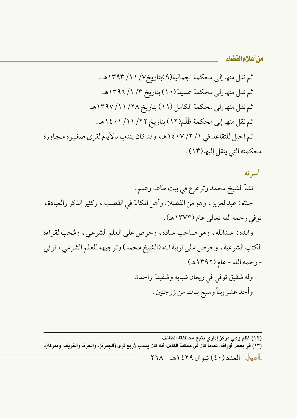وله شقيق توفي في ريعان شبابه وشقيقة واحدة. وأحد عشر إبناً وسبع بنات من زوجتين .

(١٢) ظلم وهي مركز إداري يتبع محافظة الطائف .<br>(١٣) في بعض أوراقه، عندما كان في محكمة الكامل، أنه كان ينتدب لأربع قرى (الجمرة)، والحرة، والغريف، ومدركة). العطل العدد (٤٠) شوال ١٤٢٩هـ - ٢٦٨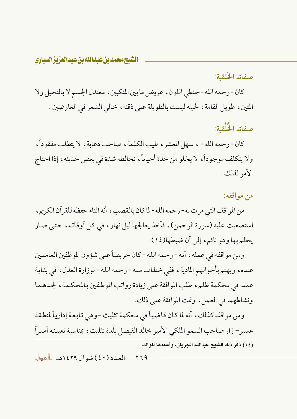الشيخ محمد بن عبدالله بن عبدالعزيزالسياري

# صفاته الخَلقية:

كان - رحمه الله - حنطى اللون، عريض ما بين المنكبين، معتدل الجسم لا بالنحيل ولا المتين، طويل القامة، لحيته ليست بالطويلة على ذقنه، خالي الشعر في العارضين .

صفاته الخُلُقية:

كان - رحمه الله - ، سهل المعشر ، طيب الكلمة ، صاحب دعابة ، لا يتطلب مفقوداً ، ولا يتكلف موجوداً، لا يخلو من حدة أحياناً، تخالطه شدة في بعض حديثه، إذا احتاج الأمر لذلك .

## من مو اقفه:

من المواقف التي مرت به - رحمه الله - لما كان بالقصب ، أنه أثناء حفظه للقر آن الكريم ، استصعبت عليه (سورة الرحمن)، فأخذ يعالجها ليل نهار، في كل أوقاته، حتى صار يحلم بها وهو نائم، إلى أن ضبطها(١٤).

ومن مواقفه في عمله، أنه - رحمه الله - كان حريصاً على شؤون الموظفين العاملين عنده، ويهتم بأحوالهم المادية، ففي خطاب منه - رحمه الله - لوزارة العدل، في بداية عمله في محكمة ظلم، طلب الموافقة على زيادة رواتب الموظفين بالمحكمة، لجدهما ونشاطهما في العمل، وتمت الموافقة على ذلك.

ومن مواقفه كذلك، أنه لما كان قاضياً في محكمة تثليث –وهي تابعة إدارياً لمنطقة عسير – زار صاحب السمو الملكي الأمير خالد الفيصل بلدة تثليث؛ بمناسبة تعيينه أميراً (١٤) ذكر ذلك الشيخ عبدالله الجريان، وأسندها للوالد.

٢٦٩ - العدد (٤٠) شوال ١٤٢٩هـ العطل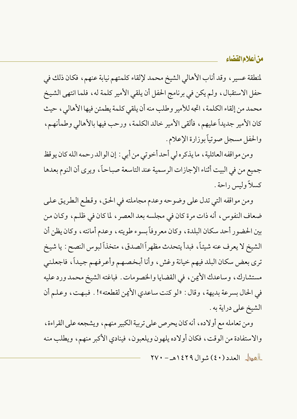لمنطقة عسيرٍ ، وقد أناب الأهالي الشيخ محمد لإلقاء كلمتهم نيابة عنهم، فكان ذلك في حفل الاستقبال، ولم يكن في برنامج الحفل أن يلقى الأمير كلمة له، فلما انتهى الشيخ محمد من إلقاء الكلمة ، اتجه للأمير وطلب منه أن يلقى كلمة يطمئن فيها الأهالي ، حيث كان الأمير جديداً عليهم، فألقى الأمير خالد الكلمة، ورحب فيها بالأهالي وطمأنهم، والحفل مسجل صوتياً بوزارة الإعلام .

ومن مواقفه العائلية ، ما يذكره لي أحد أخوتي من أبي : إن الوالد رحمه الله كان يوقظ جميع من في البيت أثناء الإجازات الرسمية عند التاسعة صباحاً، ويرى أن النوم بعدها كسلاً وليس راحة .

ومن مواقفه التي تدل على وضوحه وعدم مجاملته في الحق، وقطع الطريق على ضعاف النفوس، أنه ذات مرة كان في مجلسه بعد العصر ، لما كان في ظلم، وكان من بين الحضور أحد سكان البلدة، وكان معروفاً بسوء طويته، وعدم أمانته، وكان يظن أن الشيخ لا يعرف عنه شيئاً، فبدأ يتحدث مظهراً الصدق، متخذاً لبوس النصح : يا شيخ ترى بعض سكان البلد فيهم خيانة وغش، وأنا أبخصهم وأعرفهم جيداً، فاجعلني مستشارك، وساعدك الأيمن، في القضايا والخصومات . فباغته الشيخ محمد ورد عليه في الحال بسرعة بديهة ، وقال : «لو كنت ساعدي الأيمن لقطعته»! . فبهت ، وعلم أن الشيخ على دراية به .

ومن تعامله مع أولاده ، أنه كان يحرص على تربية الكبير منهم ، ويشجعه على القراءة ، والاستفادة من الوقت، فكان أولاده يلهون ويلعبون، فينادي الأكبر منهم، ويطلب منه

العطل العدد (٤٠) شوال ١٤٢٩هـ - ٢٧٠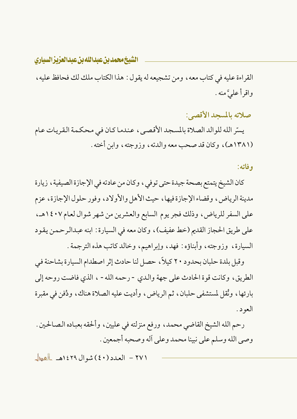الشيخ محمد بن عبدالله بن عبدالعزيزالسياري

القراءة عليه في كتاب معه ، ومن تشجيعه له يقول : هذا الكتاب ملك لك فحافظ عليه ، واقرأ علىَّ منه .

صلاته بالمسحد الأقصى:

يسِّر الله للوالد الصلاة بالمسجد الأقصبي، عندما كان في محكمة القريات عام (۱۳۸۱هه)، وكان قد صحب معه والدته، وزوجته، وابن أخته .

وفاته:

كان الشيخ يتمتع بصحة جيدة حتى توفى ، وكان من عادته في الإجازة الصيفية ، زيارة مدينة الرياض، وقضاء الإجازة فيها، حيث الأهل والأولاد، وفور حلول الإجازة، عزم على السفر للرياض، وذلك فجر يوم السابع والعشرين من شهر شوال لعام ١٤٠٧هـ، على طريق الحجاز القديم (خط عفيف)، وكان معه في السيارة : ابنه عبدالرحمن يقود السيارة، وزوجته، وأبناؤه: فهد، وإبراهيم، وخالد كاتب هذه الترجمة.

وقبل بلدة حلبان بحدود ٢٠ كيلاً، حصل لنا حادث إثر اصطدام السيارة بشاحنة في الطريق، وكانت قوة الحادث على جهة والدى -رحمه الله - ، الذي فاضت روحه إلى بارئها، ونُقل لمستشفى حلبان، ثم الرياض، وأديت عليه الصلاة هناك، ودُفن في مقبرة العود.

رحم الله الشيخ القاضي محمد، ورفع منزلته في عليين، وألحقه بعباده الصالحين . وصي الله وسلم على نبينا محمد وعلى أله وصحبه أجمعين .

٢٧١ - العدد (٤٠) شوال ١٤٢٩هـ العطل